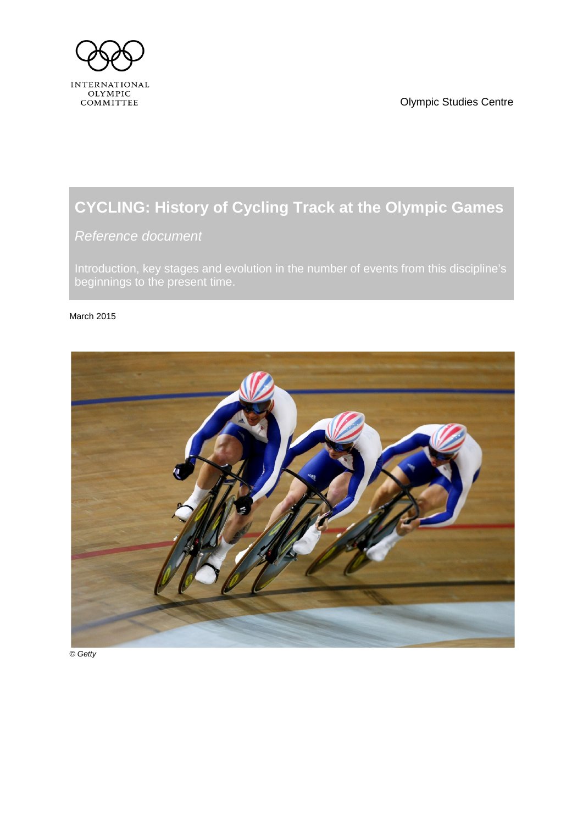<span id="page-0-1"></span>

Olympic Studies Centre

# **CYCLING: History of Cycling Track at the Olympic Games**

<span id="page-0-0"></span>*Reference document*

Introduction, key stages and evolution in the number of events from this discipline's beginnings to the present time.

#### March 2015



*© Getty*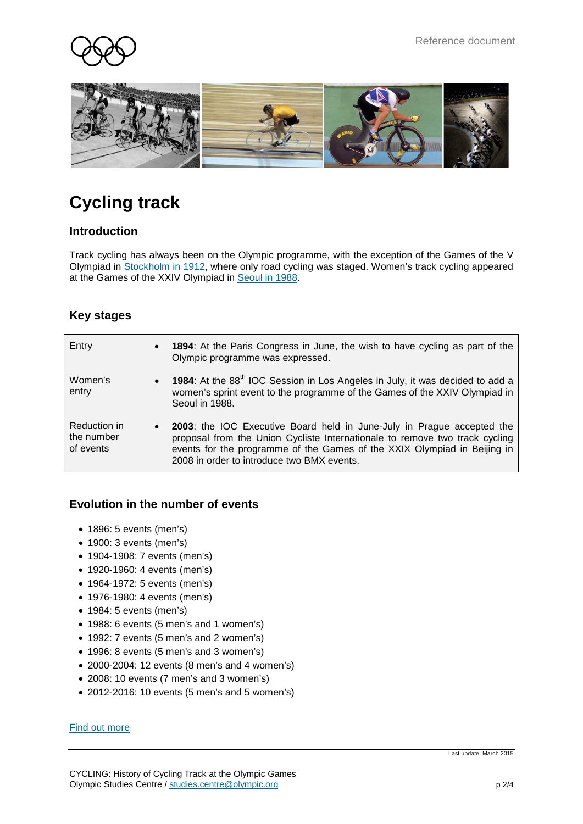



# **Cycling track**

### **Introduction**

Track cycling has always been on the Olympic programme, with the exception of the Games of the V Olympiad in [Stockholm](http://www.olympic.org/stockholm-1912-summer-olympics) in 1912, where only road cycling was staged. Women's track cycling appeared at the Games of the XXIV Olympiad in [Seoul](http://www.olympic.org/seoul-1988-summer-olympics) in 1988.

## **Key stages**

| Entry                                   | • 1894: At the Paris Congress in June, the wish to have cycling as part of the<br>Olympic programme was expressed.                                                                                                                                                                |
|-----------------------------------------|-----------------------------------------------------------------------------------------------------------------------------------------------------------------------------------------------------------------------------------------------------------------------------------|
| Women's<br>entry                        | • 1984: At the 88 <sup>th</sup> IOC Session in Los Angeles in July, it was decided to add a<br>women's sprint event to the programme of the Games of the XXIV Olympiad in<br>Seoul in 1988.                                                                                       |
| Reduction in<br>the number<br>of events | • 2003: the IOC Executive Board held in June-July in Prague accepted the<br>proposal from the Union Cycliste Internationale to remove two track cycling<br>events for the programme of the Games of the XXIX Olympiad in Beijing in<br>2008 in order to introduce two BMX events. |

#### **Evolution in the number of events**

- 1896: 5 events (men's)
- 1900: 3 events (men's)
- 1904-1908: 7 events (men's)
- 1920-1960: 4 events (men's)
- 1964-1972: 5 events (men's)
- 1976-1980: 4 events (men's)
- 1984: 5 events (men's)
- 1988: 6 events (5 men's and 1 women's)
- 1992: 7 events (5 men's and 2 women's)
- 1996: 8 events (5 men's and 3 women's)
- 2000-2004: 12 events (8 men's and 4 women's)
- 2008: 10 events (7 men's and 3 women's)
- 2012-2016: 10 events (5 men's and 5 women's)

#### [Find out more](http://www.olympic.org/cycling-track)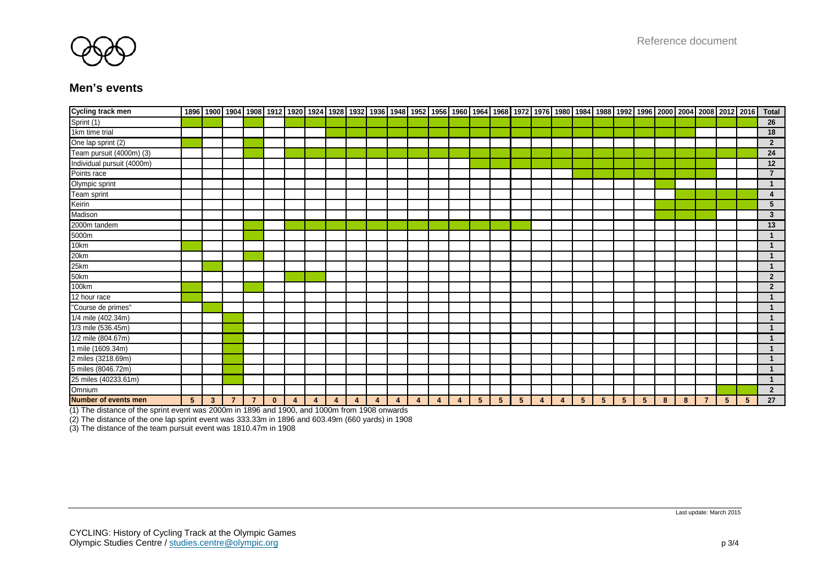

#### **Men's events**

| <b>Cycling track men</b>   |                |              |                |                |              |   |   |   |   |   |   |   |   |                |                |                |   |   |   |   |   |                 |   |   |                |             | 1896   1900   1904   1908   1912   1920   1924   1928   1932   1936   1948   1952   1956   1960   1964   1968   1972   1976   1980   1984   1988   1992   1996   2000   2004   2008   2012   2016 | Total                |
|----------------------------|----------------|--------------|----------------|----------------|--------------|---|---|---|---|---|---|---|---|----------------|----------------|----------------|---|---|---|---|---|-----------------|---|---|----------------|-------------|---------------------------------------------------------------------------------------------------------------------------------------------------------------------------------------------------|----------------------|
| Sprint (1)                 |                |              |                |                |              |   |   |   |   |   |   |   |   |                |                |                |   |   |   |   |   |                 |   |   |                |             |                                                                                                                                                                                                   | 26                   |
| 1km time trial             |                |              |                |                |              |   |   |   |   |   |   |   |   |                |                |                |   |   |   |   |   |                 |   |   |                |             |                                                                                                                                                                                                   | 18                   |
| One lap sprint (2)         |                |              |                |                |              |   |   |   |   |   |   |   |   |                |                |                |   |   |   |   |   |                 |   |   |                |             |                                                                                                                                                                                                   | $\overline{2}$       |
| Team pursuit (4000m) (3)   |                |              |                |                |              |   |   |   |   |   |   |   |   |                |                |                |   |   |   |   |   |                 |   |   |                |             |                                                                                                                                                                                                   | 24                   |
| Individual pursuit (4000m) |                |              |                |                |              |   |   |   |   |   |   |   |   |                |                |                |   |   |   |   |   |                 |   |   |                |             |                                                                                                                                                                                                   | 12                   |
| Points race                |                |              |                |                |              |   |   |   |   |   |   |   |   |                |                |                |   |   |   |   |   |                 |   |   |                |             |                                                                                                                                                                                                   | $\overline{7}$       |
| Olympic sprint             |                |              |                |                |              |   |   |   |   |   |   |   |   |                |                |                |   |   |   |   |   |                 |   |   |                |             |                                                                                                                                                                                                   | $\mathbf{1}$         |
| Team sprint                |                |              |                |                |              |   |   |   |   |   |   |   |   |                |                |                |   |   |   |   |   |                 |   |   |                |             |                                                                                                                                                                                                   | $\overline{4}$       |
| Keirin                     |                |              |                |                |              |   |   |   |   |   |   |   |   |                |                |                |   |   |   |   |   |                 |   |   |                |             |                                                                                                                                                                                                   | $5\phantom{.0}$      |
| Madison                    |                |              |                |                |              |   |   |   |   |   |   |   |   |                |                |                |   |   |   |   |   |                 |   |   |                |             |                                                                                                                                                                                                   | $\mathbf{3}$         |
| 2000m tandem               |                |              |                |                |              |   |   |   |   |   |   |   |   |                |                |                |   |   |   |   |   |                 |   |   |                |             |                                                                                                                                                                                                   | 13                   |
| 5000m                      |                |              |                |                |              |   |   |   |   |   |   |   |   |                |                |                |   |   |   |   |   |                 |   |   |                |             |                                                                                                                                                                                                   |                      |
| 10km                       |                |              |                |                |              |   |   |   |   |   |   |   |   |                |                |                |   |   |   |   |   |                 |   |   |                |             |                                                                                                                                                                                                   |                      |
| 20km                       |                |              |                |                |              |   |   |   |   |   |   |   |   |                |                |                |   |   |   |   |   |                 |   |   |                |             |                                                                                                                                                                                                   | $\mathbf{1}$         |
| 25km                       |                |              |                |                |              |   |   |   |   |   |   |   |   |                |                |                |   |   |   |   |   |                 |   |   |                |             |                                                                                                                                                                                                   | $\mathbf{1}$         |
| 50km                       |                |              |                |                |              |   |   |   |   |   |   |   |   |                |                |                |   |   |   |   |   |                 |   |   |                |             |                                                                                                                                                                                                   | $\overline{2}$       |
| 100km                      |                |              |                |                |              |   |   |   |   |   |   |   |   |                |                |                |   |   |   |   |   |                 |   |   |                |             |                                                                                                                                                                                                   | $\overline{2}$       |
| 12 hour race               |                |              |                |                |              |   |   |   |   |   |   |   |   |                |                |                |   |   |   |   |   |                 |   |   |                |             |                                                                                                                                                                                                   | $\blacktriangleleft$ |
| "Course de primes"         |                |              |                |                |              |   |   |   |   |   |   |   |   |                |                |                |   |   |   |   |   |                 |   |   |                |             |                                                                                                                                                                                                   |                      |
| 1/4 mile (402.34m)         |                |              |                |                |              |   |   |   |   |   |   |   |   |                |                |                |   |   |   |   |   |                 |   |   |                |             |                                                                                                                                                                                                   | $\mathbf{1}$         |
| 1/3 mile (536.45m)         |                |              |                |                |              |   |   |   |   |   |   |   |   |                |                |                |   |   |   |   |   |                 |   |   |                |             |                                                                                                                                                                                                   |                      |
| 1/2 mile (804.67m)         |                |              |                |                |              |   |   |   |   |   |   |   |   |                |                |                |   |   |   |   |   |                 |   |   |                |             |                                                                                                                                                                                                   | $\overline{1}$       |
| 1 mile (1609.34m)          |                |              |                |                |              |   |   |   |   |   |   |   |   |                |                |                |   |   |   |   |   |                 |   |   |                |             |                                                                                                                                                                                                   | $\mathbf 1$          |
| 2 miles (3218.69m)         |                |              |                |                |              |   |   |   |   |   |   |   |   |                |                |                |   |   |   |   |   |                 |   |   |                |             |                                                                                                                                                                                                   | $\blacktriangleleft$ |
| 5 miles (8046.72m)         |                |              |                |                |              |   |   |   |   |   |   |   |   |                |                |                |   |   |   |   |   |                 |   |   |                |             |                                                                                                                                                                                                   | $\mathbf{1}$         |
| 25 miles (40233.61m)       |                |              |                |                |              |   |   |   |   |   |   |   |   |                |                |                |   |   |   |   |   |                 |   |   |                |             |                                                                                                                                                                                                   | $\overline{1}$       |
| Omnium                     |                |              |                |                |              |   |   |   |   |   |   |   |   |                |                |                |   |   |   |   |   |                 |   |   |                |             |                                                                                                                                                                                                   | $\overline{2}$       |
| Number of events men       | 5 <sup>5</sup> | $\mathbf{3}$ | $\overline{7}$ | $\overline{7}$ | $\mathbf{0}$ | 4 | 4 | 4 | 4 | 4 | 4 | 4 | 4 | 5 <sup>5</sup> | 5 <sup>5</sup> | 5 <sup>5</sup> | 4 | 4 | 5 | 5 | 5 | $5\phantom{.0}$ | 8 | 8 | $\overline{7}$ | $5^{\circ}$ | 5                                                                                                                                                                                                 | 27                   |

(1) The distance of the sprint event was 2000m in 1896 and 1900, and 1000m from 1908 onwards

(2) The distance of the one lap sprint event was 333.33m in 1896 and 603.49m (660 yards) in 1908

(3) The distance of the team pursuit event was 1810.47m in 1908